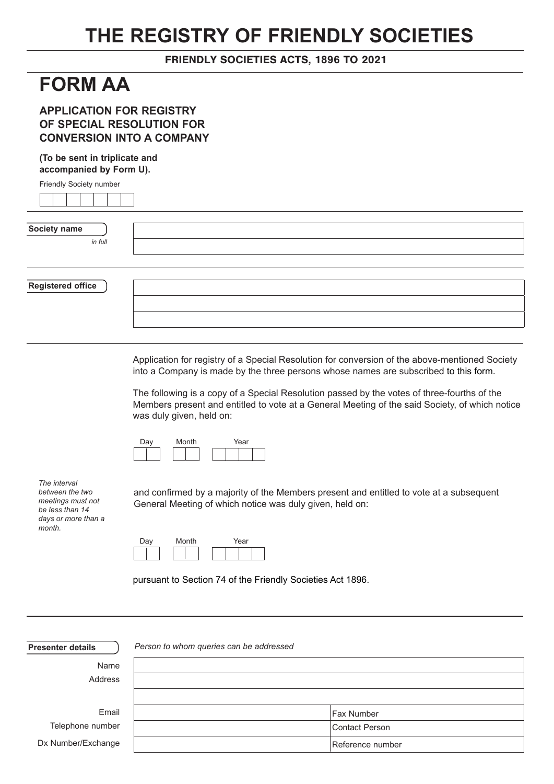# **THE REGISTRY OF FRIENDLY SOCIETIES**

## FRIENDLY SOCIETIES ACTS, 1896 TO 2021

## **FORM AA**

## **APPLICATION FOR REGISTRY OF SPECIAL RESOLUTION FOR CONVERSION INTO A COMPANY**

## **(To be sent in triplicate and accompanied by Form U).**

| Friendly Society number  |  |
|--------------------------|--|
|                          |  |
| Society name             |  |
| in full                  |  |
| <b>Registered office</b> |  |
|                          |  |
|                          |  |

Application for registry of a Special Resolution for conversion of the above-mentioned Society into a Company is made by the three persons whose names are subscribed to this form.

The following is a copy of a Special Resolution passed by the votes of three-fourths of the Members present and entitled to vote at a General Meeting of the said Society, of which notice was duly given, held on:

and confirmed by a majority of the Members present and entitled to vote at a subsequent



*The interval between the two meetings must not be less than 14 days or more than a month.*

| Day | Month | Year |
|-----|-------|------|
|     |       |      |

pursuant to Section 74 of the Friendly Societies Act 1896.

General Meeting of which notice was duly given, held on:

| <b>Presenter details</b> | Person to whom queries can be addressed |                   |
|--------------------------|-----------------------------------------|-------------------|
| Name                     |                                         |                   |
| Address                  |                                         |                   |
|                          |                                         |                   |
| Email                    |                                         | <b>Fax Number</b> |
| Telephone number         |                                         | Contact Person    |
| Dx Number/Exchange       |                                         | Reference number  |